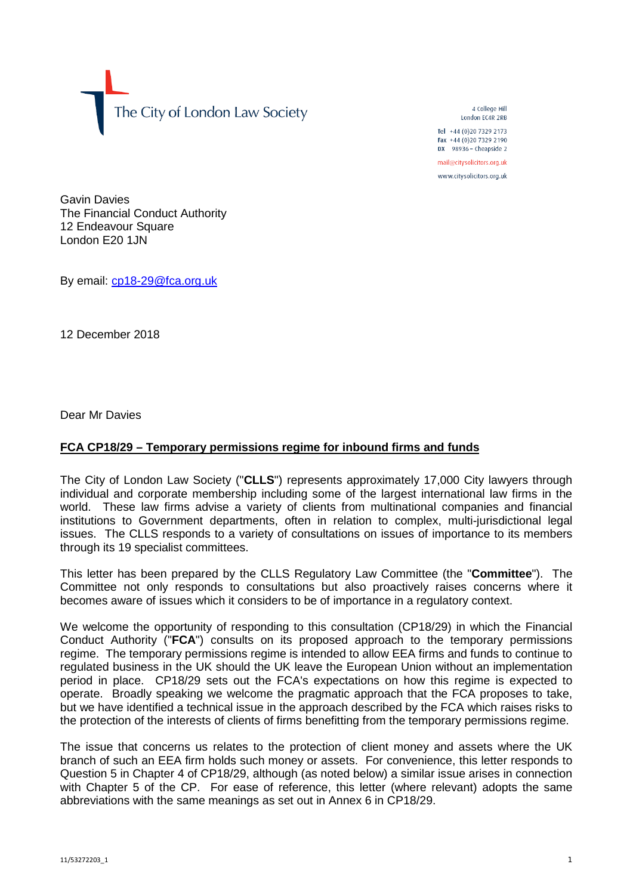The City of London Law Society

4 College Hill London FC4R 2RB

Tel +44 (0)20 7329 2173 Fax +44 (0)20 7329 2190 DX  $98936$  - Cheapside 2 mail@citysolicitors.org.uk

www.citysolicitors.org.uk

Gavin Davies The Financial Conduct Authority 12 Endeavour Square London E20 1JN

By email: [cp18-29@fca.org.uk](mailto:cp18-29@fca.org.uk)

12 December 2018

Dear Mr Davies

## **FCA CP18/29 – Temporary permissions regime for inbound firms and funds**

The City of London Law Society ("**CLLS**") represents approximately 17,000 City lawyers through individual and corporate membership including some of the largest international law firms in the world. These law firms advise a variety of clients from multinational companies and financial institutions to Government departments, often in relation to complex, multi-jurisdictional legal issues. The CLLS responds to a variety of consultations on issues of importance to its members through its 19 specialist committees.

This letter has been prepared by the CLLS Regulatory Law Committee (the "**Committee**"). The Committee not only responds to consultations but also proactively raises concerns where it becomes aware of issues which it considers to be of importance in a regulatory context.

We welcome the opportunity of responding to this consultation (CP18/29) in which the Financial Conduct Authority ("**FCA**") consults on its proposed approach to the temporary permissions regime. The temporary permissions regime is intended to allow EEA firms and funds to continue to regulated business in the UK should the UK leave the European Union without an implementation period in place. CP18/29 sets out the FCA's expectations on how this regime is expected to operate. Broadly speaking we welcome the pragmatic approach that the FCA proposes to take, but we have identified a technical issue in the approach described by the FCA which raises risks to the protection of the interests of clients of firms benefitting from the temporary permissions regime.

The issue that concerns us relates to the protection of client money and assets where the UK branch of such an EEA firm holds such money or assets. For convenience, this letter responds to Question 5 in Chapter 4 of CP18/29, although (as noted below) a similar issue arises in connection with Chapter 5 of the CP. For ease of reference, this letter (where relevant) adopts the same abbreviations with the same meanings as set out in Annex 6 in CP18/29.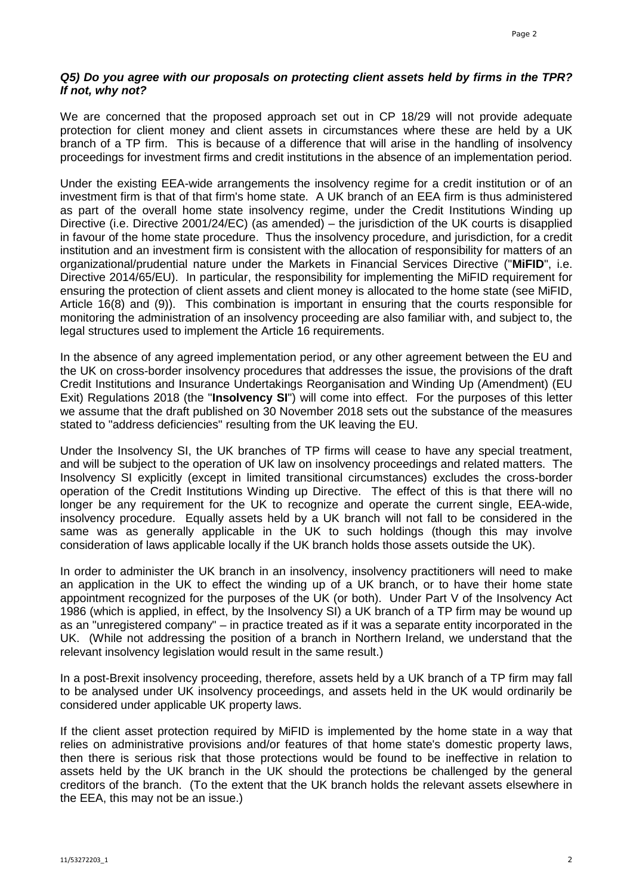## *Q5) Do you agree with our proposals on protecting client assets held by firms in the TPR? If not, why not?*

We are concerned that the proposed approach set out in CP 18/29 will not provide adequate protection for client money and client assets in circumstances where these are held by a UK branch of a TP firm. This is because of a difference that will arise in the handling of insolvency proceedings for investment firms and credit institutions in the absence of an implementation period.

Under the existing EEA-wide arrangements the insolvency regime for a credit institution or of an investment firm is that of that firm's home state. A UK branch of an EEA firm is thus administered as part of the overall home state insolvency regime, under the Credit Institutions Winding up Directive (i.e. Directive 2001/24/EC) (as amended) – the jurisdiction of the UK courts is disapplied in favour of the home state procedure. Thus the insolvency procedure, and jurisdiction, for a credit institution and an investment firm is consistent with the allocation of responsibility for matters of an organizational/prudential nature under the Markets in Financial Services Directive ("**MiFID**", i.e. Directive 2014/65/EU). In particular, the responsibility for implementing the MiFID requirement for ensuring the protection of client assets and client money is allocated to the home state (see MiFID, Article 16(8) and (9)). This combination is important in ensuring that the courts responsible for monitoring the administration of an insolvency proceeding are also familiar with, and subject to, the legal structures used to implement the Article 16 requirements.

In the absence of any agreed implementation period, or any other agreement between the EU and the UK on cross-border insolvency procedures that addresses the issue, the provisions of the draft Credit Institutions and Insurance Undertakings Reorganisation and Winding Up (Amendment) (EU Exit) Regulations 2018 (the "**Insolvency SI**") will come into effect. For the purposes of this letter we assume that the draft published on 30 November 2018 sets out the substance of the measures stated to "address deficiencies" resulting from the UK leaving the EU.

Under the Insolvency SI, the UK branches of TP firms will cease to have any special treatment, and will be subject to the operation of UK law on insolvency proceedings and related matters. The Insolvency SI explicitly (except in limited transitional circumstances) excludes the cross-border operation of the Credit Institutions Winding up Directive. The effect of this is that there will no longer be any requirement for the UK to recognize and operate the current single, EEA-wide, insolvency procedure. Equally assets held by a UK branch will not fall to be considered in the same was as generally applicable in the UK to such holdings (though this may involve consideration of laws applicable locally if the UK branch holds those assets outside the UK).

In order to administer the UK branch in an insolvency, insolvency practitioners will need to make an application in the UK to effect the winding up of a UK branch, or to have their home state appointment recognized for the purposes of the UK (or both). Under Part V of the Insolvency Act 1986 (which is applied, in effect, by the Insolvency SI) a UK branch of a TP firm may be wound up as an "unregistered company" – in practice treated as if it was a separate entity incorporated in the UK. (While not addressing the position of a branch in Northern Ireland, we understand that the relevant insolvency legislation would result in the same result.)

In a post-Brexit insolvency proceeding, therefore, assets held by a UK branch of a TP firm may fall to be analysed under UK insolvency proceedings, and assets held in the UK would ordinarily be considered under applicable UK property laws.

If the client asset protection required by MiFID is implemented by the home state in a way that relies on administrative provisions and/or features of that home state's domestic property laws, then there is serious risk that those protections would be found to be ineffective in relation to assets held by the UK branch in the UK should the protections be challenged by the general creditors of the branch. (To the extent that the UK branch holds the relevant assets elsewhere in the EEA, this may not be an issue.)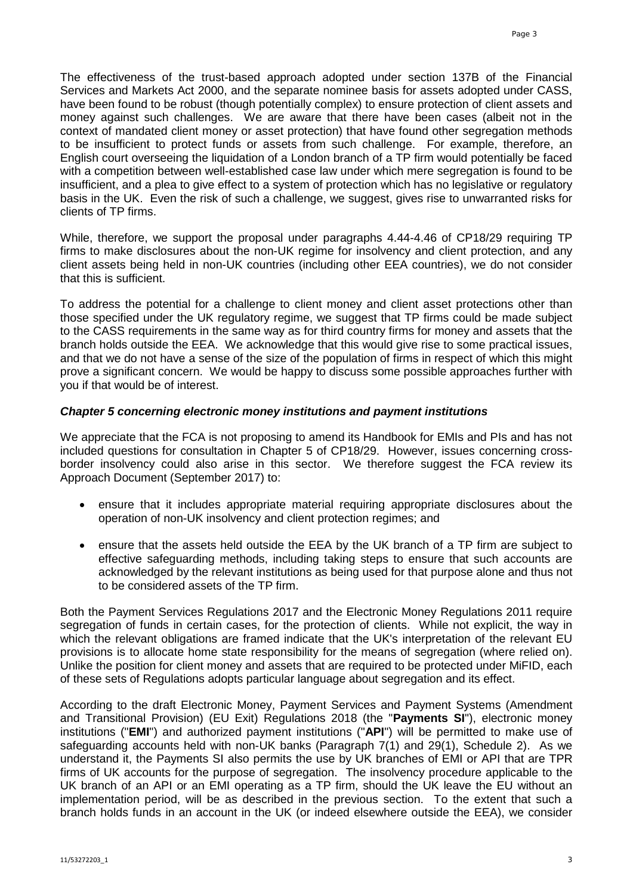The effectiveness of the trust-based approach adopted under section 137B of the Financial Services and Markets Act 2000, and the separate nominee basis for assets adopted under CASS, have been found to be robust (though potentially complex) to ensure protection of client assets and money against such challenges. We are aware that there have been cases (albeit not in the context of mandated client money or asset protection) that have found other segregation methods to be insufficient to protect funds or assets from such challenge. For example, therefore, an English court overseeing the liquidation of a London branch of a TP firm would potentially be faced with a competition between well-established case law under which mere segregation is found to be insufficient, and a plea to give effect to a system of protection which has no legislative or regulatory basis in the UK. Even the risk of such a challenge, we suggest, gives rise to unwarranted risks for clients of TP firms.

While, therefore, we support the proposal under paragraphs 4.44-4.46 of CP18/29 requiring TP firms to make disclosures about the non-UK regime for insolvency and client protection, and any client assets being held in non-UK countries (including other EEA countries), we do not consider that this is sufficient.

To address the potential for a challenge to client money and client asset protections other than those specified under the UK regulatory regime, we suggest that TP firms could be made subject to the CASS requirements in the same way as for third country firms for money and assets that the branch holds outside the EEA. We acknowledge that this would give rise to some practical issues, and that we do not have a sense of the size of the population of firms in respect of which this might prove a significant concern. We would be happy to discuss some possible approaches further with you if that would be of interest.

## *Chapter 5 concerning electronic money institutions and payment institutions*

We appreciate that the FCA is not proposing to amend its Handbook for EMIs and PIs and has not included questions for consultation in Chapter 5 of CP18/29. However, issues concerning crossborder insolvency could also arise in this sector. We therefore suggest the FCA review its Approach Document (September 2017) to:

- ensure that it includes appropriate material requiring appropriate disclosures about the operation of non-UK insolvency and client protection regimes; and
- ensure that the assets held outside the EEA by the UK branch of a TP firm are subject to effective safeguarding methods, including taking steps to ensure that such accounts are acknowledged by the relevant institutions as being used for that purpose alone and thus not to be considered assets of the TP firm.

Both the Payment Services Regulations 2017 and the Electronic Money Regulations 2011 require segregation of funds in certain cases, for the protection of clients. While not explicit, the way in which the relevant obligations are framed indicate that the UK's interpretation of the relevant EU provisions is to allocate home state responsibility for the means of segregation (where relied on). Unlike the position for client money and assets that are required to be protected under MiFID, each of these sets of Regulations adopts particular language about segregation and its effect.

According to the draft Electronic Money, Payment Services and Payment Systems (Amendment and Transitional Provision) (EU Exit) Regulations 2018 (the "**Payments SI**"), electronic money institutions ("**EMI**") and authorized payment institutions ("**API**") will be permitted to make use of safeguarding accounts held with non-UK banks (Paragraph 7(1) and 29(1), Schedule 2). As we understand it, the Payments SI also permits the use by UK branches of EMI or API that are TPR firms of UK accounts for the purpose of segregation. The insolvency procedure applicable to the UK branch of an API or an EMI operating as a TP firm, should the UK leave the EU without an implementation period, will be as described in the previous section. To the extent that such a branch holds funds in an account in the UK (or indeed elsewhere outside the EEA), we consider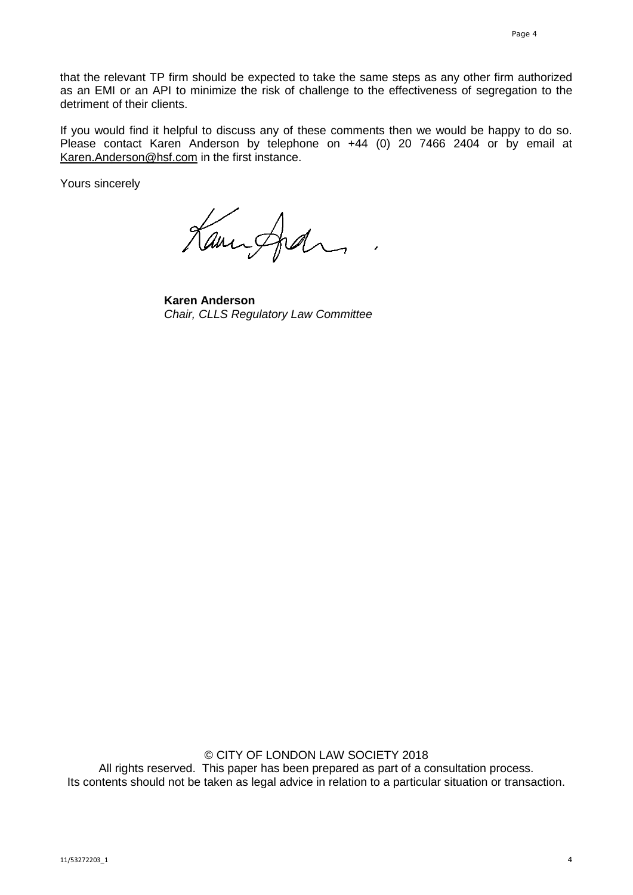that the relevant TP firm should be expected to take the same steps as any other firm authorized as an EMI or an API to minimize the risk of challenge to the effectiveness of segregation to the detriment of their clients.

If you would find it helpful to discuss any of these comments then we would be happy to do so. Please contact Karen Anderson by telephone on +44 (0) 20 7466 2404 or by email at [Karen.Anderson@hsf.com](mailto:Karen.Anderson@hsf.com) in the first instance.

Yours sincerely

Kannford

**Karen Anderson** *Chair, CLLS Regulatory Law Committee*

© CITY OF LONDON LAW SOCIETY 2018 All rights reserved. This paper has been prepared as part of a consultation process. Its contents should not be taken as legal advice in relation to a particular situation or transaction.